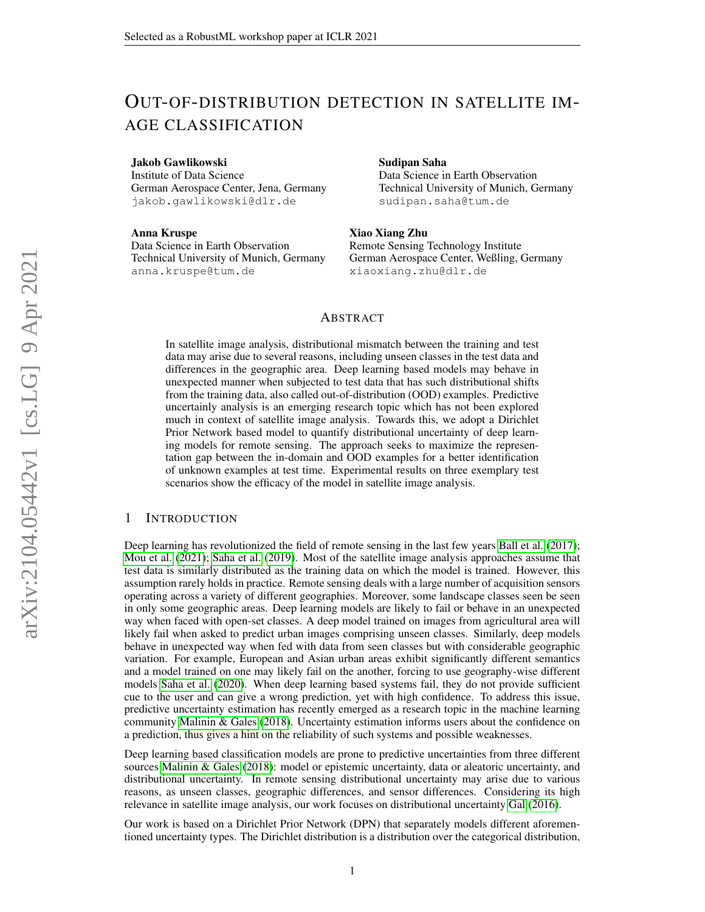# OUT-OF-DISTRIBUTION DETECTION IN SATELLITE IM-AGE CLASSIFICATION

#### Jakob Gawlikowski

Institute of Data Science German Aerospace Center, Jena, Germany jakob.gawlikowski@dlr.de

#### Anna Kruspe

Data Science in Earth Observation Technical University of Munich, Germany anna.kruspe@tum.de

#### Sudipan Saha

Data Science in Earth Observation Technical University of Munich, Germany sudipan.saha@tum.de

## Xiao Xiang Zhu

Remote Sensing Technology Institute German Aerospace Center, Weßling, Germany xiaoxiang.zhu@dlr.de

#### ABSTRACT

In satellite image analysis, distributional mismatch between the training and test data may arise due to several reasons, including unseen classes in the test data and differences in the geographic area. Deep learning based models may behave in unexpected manner when subjected to test data that has such distributional shifts from the training data, also called out-of-distribution (OOD) examples. Predictive uncertainly analysis is an emerging research topic which has not been explored much in context of satellite image analysis. Towards this, we adopt a Dirichlet Prior Network based model to quantify distributional uncertainty of deep learning models for remote sensing. The approach seeks to maximize the representation gap between the in-domain and OOD examples for a better identification of unknown examples at test time. Experimental results on three exemplary test scenarios show the efficacy of the model in satellite image analysis.

### 1 INTRODUCTION

Deep learning has revolutionized the field of remote sensing in the last few years [Ball et al.](#page-3-0) [\(2017\)](#page-3-0); [Mou et al.](#page-4-0) [\(2021\)](#page-4-0); [Saha et al.](#page-4-1) [\(2019\)](#page-4-1). Most of the satellite image analysis approaches assume that test data is similarly distributed as the training data on which the model is trained. However, this assumption rarely holds in practice. Remote sensing deals with a large number of acquisition sensors operating across a variety of different geographies. Moreover, some landscape classes seen be seen in only some geographic areas. Deep learning models are likely to fail or behave in an unexpected way when faced with open-set classes. A deep model trained on images from agricultural area will likely fail when asked to predict urban images comprising unseen classes. Similarly, deep models behave in unexpected way when fed with data from seen classes but with considerable geographic variation. For example, European and Asian urban areas exhibit significantly different semantics and a model trained on one may likely fail on the another, forcing to use geography-wise different models [Saha et al.](#page-4-2) [\(2020\)](#page-4-2). When deep learning based systems fail, they do not provide sufficient cue to the user and can give a wrong prediction, yet with high confidence. To address this issue, predictive uncertainty estimation has recently emerged as a research topic in the machine learning community [Malinin & Gales](#page-4-3) [\(2018\)](#page-4-3). Uncertainty estimation informs users about the confidence on a prediction, thus gives a hint on the reliability of such systems and possible weaknesses.

Deep learning based classification models are prone to predictive uncertainties from three different sources [Malinin & Gales](#page-4-3) [\(2018\)](#page-4-3): model or epistemic uncertainty, data or aleatoric uncertainty, and distributional uncertainty. In remote sensing distributional uncertainty may arise due to various reasons, as unseen classes, geographic differences, and sensor differences. Considering its high relevance in satellite image analysis, our work focuses on distributional uncertainty [Gal](#page-4-4) [\(2016\)](#page-4-4).

Our work is based on a Dirichlet Prior Network (DPN) that separately models different aforementioned uncertainty types. The Dirichlet distribution is a distribution over the categorical distribution,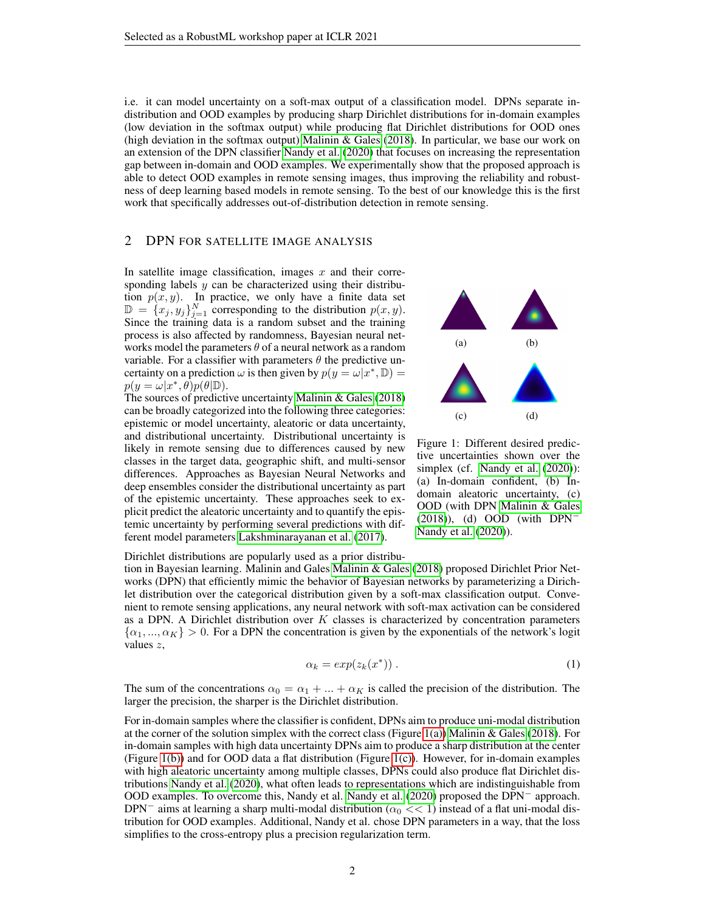i.e. it can model uncertainty on a soft-max output of a classification model. DPNs separate indistribution and OOD examples by producing sharp Dirichlet distributions for in-domain examples (low deviation in the softmax output) while producing flat Dirichlet distributions for OOD ones (high deviation in the softmax output) [Malinin & Gales](#page-4-3) [\(2018\)](#page-4-3). In particular, we base our work on an extension of the DPN classifier [Nandy et al.](#page-4-5) [\(2020\)](#page-4-5) that focuses on increasing the representation gap between in-domain and OOD examples. We experimentally show that the proposed approach is able to detect OOD examples in remote sensing images, thus improving the reliability and robustness of deep learning based models in remote sensing. To the best of our knowledge this is the first work that specifically addresses out-of-distribution detection in remote sensing.

## 2 DPN FOR SATELLITE IMAGE ANALYSIS

In satellite image classification, images  $x$  and their corresponding labels  $y$  can be characterized using their distribution  $p(x, y)$ . In practice, we only have a finite data set  $\mathbb{D} = \{x_j, y_j\}_{j=1}^N$  corresponding to the distribution  $p(x, y)$ . Since the training data is a random subset and the training process is also affected by randomness, Bayesian neural networks model the parameters  $\theta$  of a neural network as a random variable. For a classifier with parameters  $\theta$  the predictive uncertainty on a prediction  $\omega$  is then given by  $p(y = \omega | x^*, \mathbb{D}) =$  $p(y = \omega | x^*, \theta) p(\theta | \mathbb{D}).$ 

The sources of predictive uncertainty [Malinin & Gales](#page-4-3) [\(2018\)](#page-4-3) can be broadly categorized into the following three categories: epistemic or model uncertainty, aleatoric or data uncertainty, and distributional uncertainty. Distributional uncertainty is likely in remote sensing due to differences caused by new classes in the target data, geographic shift, and multi-sensor differences. Approaches as Bayesian Neural Networks and deep ensembles consider the distributional uncertainty as part of the epistemic uncertainty. These approaches seek to explicit predict the aleatoric uncertainty and to quantify the epistemic uncertainty by performing several predictions with different model parameters [Lakshminarayanan et al.](#page-4-6) [\(2017\)](#page-4-6).

<span id="page-1-2"></span><span id="page-1-1"></span><span id="page-1-0"></span>

<span id="page-1-3"></span>Figure 1: Different desired predictive uncertainties shown over the simplex (cf. [Nandy et al.](#page-4-5)  $(2020)$ ): (a) In-domain confident, (b) Indomain aleatoric uncertainty, (c) OOD (with DPN [Malinin & Gales](#page-4-3) [\(2018\)](#page-4-3)), (d) OOD (with DPN<sup>−</sup> [Nandy et al.](#page-4-5) [\(2020\)](#page-4-5)).

Dirichlet distributions are popularly used as a prior distribu-

tion in Bayesian learning. Malinin and Gales [Malinin & Gales](#page-4-3) [\(2018\)](#page-4-3) proposed Dirichlet Prior Networks (DPN) that efficiently mimic the behavior of Bayesian networks by parameterizing a Dirichlet distribution over the categorical distribution given by a soft-max classification output. Convenient to remote sensing applications, any neural network with soft-max activation can be considered as a DPN. A Dirichlet distribution over  $K$  classes is characterized by concentration parameters  $\{\alpha_1, ..., \alpha_K\} > 0$ . For a DPN the concentration is given by the exponentials of the network's logit values z,

<span id="page-1-4"></span>
$$
\alpha_k = \exp(z_k(x^*))\,. \tag{1}
$$

The sum of the concentrations  $\alpha_0 = \alpha_1 + ... + \alpha_K$  is called the precision of the distribution. The larger the precision, the sharper is the Dirichlet distribution.

For in-domain samples where the classifier is confident, DPNs aim to produce uni-modal distribution at the corner of the solution simplex with the correct class (Figure [1\(a\)\)](#page-1-0) [Malinin & Gales](#page-4-3) [\(2018\)](#page-4-3). For in-domain samples with high data uncertainty DPNs aim to produce a sharp distribution at the center (Figure [1\(b\)\)](#page-1-1) and for OOD data a flat distribution (Figure [1\(c\)\)](#page-1-2). However, for in-domain examples with high aleatoric uncertainty among multiple classes, DPNs could also produce flat Dirichlet distributions [Nandy et al.](#page-4-5) [\(2020\)](#page-4-5), what often leads to representations which are indistinguishable from OOD examples. To overcome this, Nandy et al. [Nandy et al.](#page-4-5) [\(2020\)](#page-4-5) proposed the DPN<sup>−</sup> approach. DPN<sup>-</sup> aims at learning a sharp multi-modal distribution ( $\alpha_0 \ll 1$ ) instead of a flat uni-modal distribution for OOD examples. Additional, Nandy et al. chose DPN parameters in a way, that the loss simplifies to the cross-entropy plus a precision regularization term.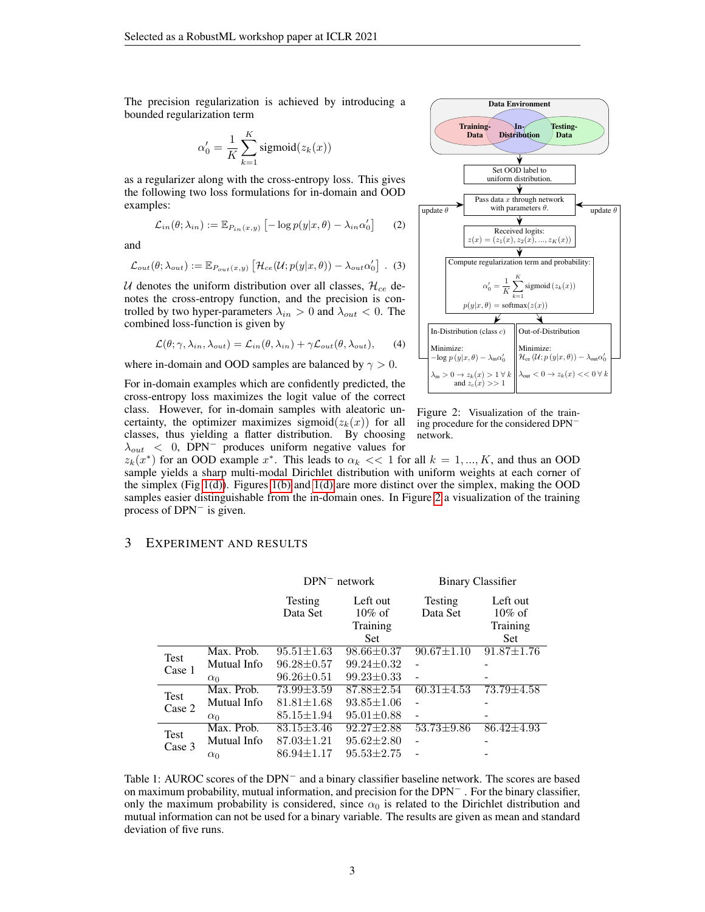The precision regularization is achieved by introducing a bounded regularization term

$$
\alpha'_0 = \frac{1}{K} \sum_{k=1}^{K} \text{sigmoid}(z_k(x))
$$

as a regularizer along with the cross-entropy loss. This gives the following two loss formulations for in-domain and OOD examples:

$$
\mathcal{L}_{in}(\theta; \lambda_{in}) := \mathbb{E}_{P_{in}(x,y)} \left[ -\log p(y|x, \theta) - \lambda_{in} \alpha'_0 \right] \tag{2}
$$

and

$$
\mathcal{L}_{out}(\theta; \lambda_{out}) := \mathbb{E}_{P_{out}(x,y)} \left[ \mathcal{H}_{ce}(\mathcal{U}; p(y|x, \theta)) - \lambda_{out} \alpha_0' \right] . (3)
$$

U denotes the uniform distribution over all classes,  $\mathcal{H}_{ce}$  denotes the cross-entropy function, and the precision is controlled by two hyper-parameters  $\lambda_{in} > 0$  and  $\lambda_{out} < 0$ . The combined loss-function is given by

$$
\mathcal{L}(\theta; \gamma, \lambda_{in}, \lambda_{out}) = \mathcal{L}_{in}(\theta, \lambda_{in}) + \gamma \mathcal{L}_{out}(\theta, \lambda_{out}), \qquad (4)
$$

where in-domain and OOD samples are balanced by  $\gamma > 0$ .

For in-domain examples which are confidently predicted, the cross-entropy loss maximizes the logit value of the correct class. However, for in-domain samples with aleatoric uncertainty, the optimizer maximizes sigmoid $(z_k(x))$  for all classes, thus yielding a flatter distribution. By choosing  $\lambda_{out}$  < 0, DPN<sup>-</sup> produces uniform negative values for



Figure 2: Visualization of the training procedure for the considered DPN<sup>−</sup> network.

 $z_k(x^*)$  for an OOD example  $x^*$ . This leads to  $\alpha_k \ll 1$  for all  $k = 1, ..., K$ , and thus an OOD sample yields a sharp multi-modal Dirichlet distribution with uniform weights at each corner of the simplex (Fig [1\(d\)\)](#page-1-3). Figures [1\(b\)](#page-1-1) and [1\(d\)](#page-1-3) are more distinct over the simplex, making the OOD samples easier distinguishable from the in-domain ones. In Figure [2](#page-1-4) a visualization of the training process of DPN<sup>−</sup> is given.

#### <span id="page-2-0"></span>3 EXPERIMENT AND RESULTS

|                       |             | $DPN$ <sup>-</sup> network |                  | <b>Binary Classifier</b> |                  |
|-----------------------|-------------|----------------------------|------------------|--------------------------|------------------|
|                       |             | Testing                    | Left out         | Testing                  | Left out         |
|                       |             | Data Set                   | $10\%$ of        | Data Set                 | $10\%$ of        |
|                       |             |                            | Training         |                          | Training         |
|                       |             |                            | Set              |                          | Set              |
| Test<br>Case 1        | Max. Prob.  | $95.51 \pm 1.63$           | $98.66 \pm 0.37$ | $90.67 \pm 1.10$         | $91.87 \pm 1.76$ |
|                       | Mutual Info | $96.28 \pm 0.57$           | $99.24 \pm 0.32$ | ۰                        |                  |
|                       | $\alpha_0$  | $96.26 \pm 0.51$           | $99.23 \pm 0.33$ |                          |                  |
| <b>Test</b><br>Case 2 | Max. Prob.  | $73.99 \pm 3.59$           | $87.88 \pm 2.54$ | $60.31 + 4.53$           | $73.79 + 4.58$   |
|                       | Mutual Info | $81.81 \pm 1.68$           | $93.85 \pm 1.06$ |                          |                  |
|                       | $\alpha_0$  | $85.15 \pm 1.94$           | $95.01 \pm 0.88$ |                          |                  |
| <b>Test</b><br>Case 3 | Max. Prob.  | $83.15 \pm 3.46$           | $92.27 \pm 2.88$ | $53.73 \pm 9.86$         | $86.42 + 4.93$   |
|                       | Mutual Info | $87.03 \pm 1.21$           | $95.62 \pm 2.80$ |                          |                  |
|                       | $\alpha_0$  | $86.94 \pm 1.17$           | $95.53 \pm 2.75$ |                          |                  |

<span id="page-2-1"></span>Table 1: AUROC scores of the DPN<sup>−</sup> and a binary classifier baseline network. The scores are based on maximum probability, mutual information, and precision for the DPN<sup>−</sup> . For the binary classifier, only the maximum probability is considered, since  $\alpha_0$  is related to the Dirichlet distribution and mutual information can not be used for a binary variable. The results are given as mean and standard deviation of five runs.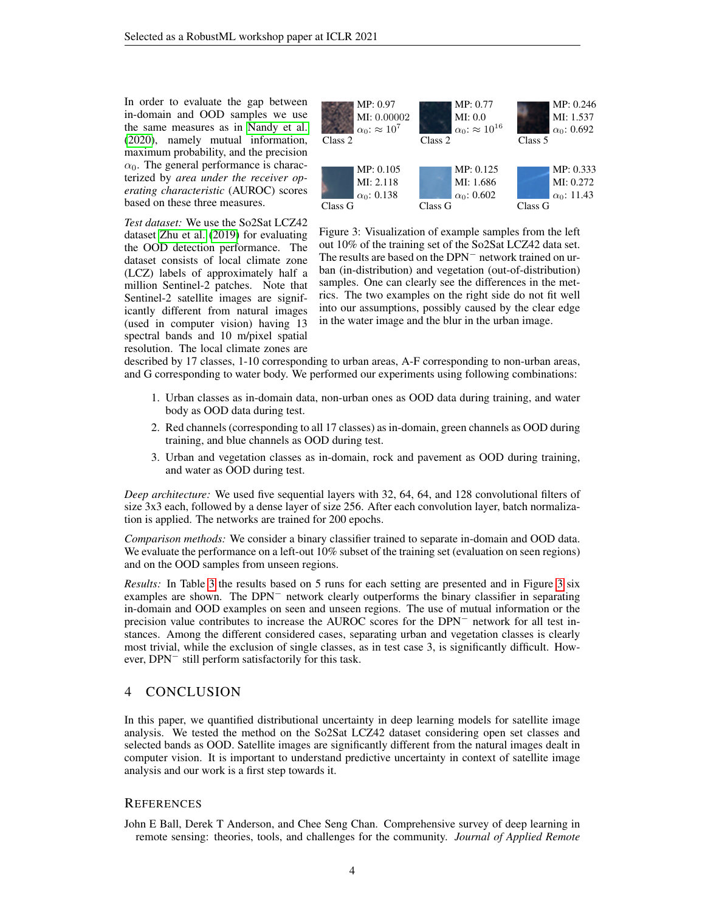In order to evaluate the gap between in-domain and OOD samples we use the same measures as in [Nandy et al.](#page-4-5) [\(2020\)](#page-4-5), namely mutual information, maximum probability, and the precision  $\alpha_0$ . The general performance is characterized by *area under the receiver operating characteristic* (AUROC) scores based on these three measures.

*Test dataset:* We use the So2Sat LCZ42 dataset [Zhu et al.](#page-4-7) [\(2019\)](#page-4-7) for evaluating the OOD detection performance. The dataset consists of local climate zone (LCZ) labels of approximately half a million Sentinel-2 patches. Note that Sentinel-2 satellite images are significantly different from natural images (used in computer vision) having 13 spectral bands and 10 m/pixel spatial resolution. The local climate zones are



Figure 3: Visualization of example samples from the left out 10% of the training set of the So2Sat LCZ42 data set. The results are based on the DPN<sup>−</sup> network trained on urban (in-distribution) and vegetation (out-of-distribution) samples. One can clearly see the differences in the metrics. The two examples on the right side do not fit well into our assumptions, possibly caused by the clear edge in the water image and the blur in the urban image.

described by 17 classes, 1-10 corresponding to urban areas, A-F corresponding to non-urban areas, and G corresponding to water body. We performed our experiments using following combinations:

- 1. Urban classes as in-domain data, non-urban ones as OOD data during training, and water body as OOD data during test.
- 2. Red channels (corresponding to all 17 classes) as in-domain, green channels as OOD during training, and blue channels as OOD during test.
- 3. Urban and vegetation classes as in-domain, rock and pavement as OOD during training, and water as OOD during test.

*Deep architecture:* We used five sequential layers with 32, 64, 64, and 128 convolutional filters of size 3x3 each, followed by a dense layer of size 256. After each convolution layer, batch normalization is applied. The networks are trained for 200 epochs.

*Comparison methods:* We consider a binary classifier trained to separate in-domain and OOD data. We evaluate the performance on a left-out 10% subset of the training set (evaluation on seen regions) and on the OOD samples from unseen regions.

*Results:* In Table [3](#page-2-1) the results based on 5 runs for each setting are presented and in Figure 3 six examples are shown. The DPN<sup>−</sup> network clearly outperforms the binary classifier in separating in-domain and OOD examples on seen and unseen regions. The use of mutual information or the precision value contributes to increase the AUROC scores for the DPN<sup>−</sup> network for all test instances. Among the different considered cases, separating urban and vegetation classes is clearly most trivial, while the exclusion of single classes, as in test case 3, is significantly difficult. However, DPN<sup>−</sup> still perform satisfactorily for this task.

## 4 CONCLUSION

In this paper, we quantified distributional uncertainty in deep learning models for satellite image analysis. We tested the method on the So2Sat LCZ42 dataset considering open set classes and selected bands as OOD. Satellite images are significantly different from the natural images dealt in computer vision. It is important to understand predictive uncertainty in context of satellite image analysis and our work is a first step towards it.

### **REFERENCES**

<span id="page-3-0"></span>John E Ball, Derek T Anderson, and Chee Seng Chan. Comprehensive survey of deep learning in remote sensing: theories, tools, and challenges for the community. *Journal of Applied Remote*